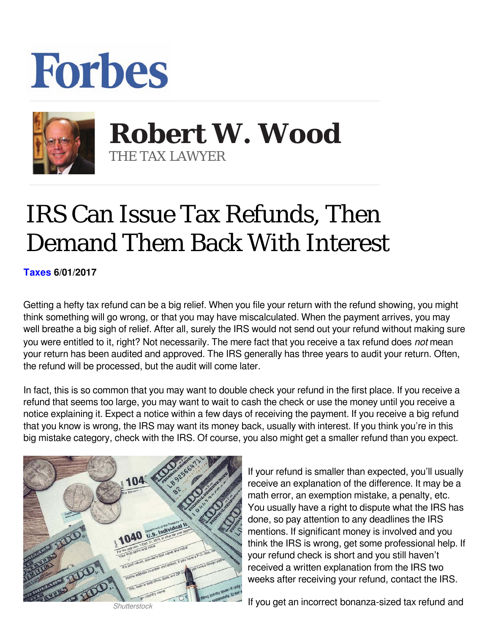## **Forbes**



 **Robert W. Wood** THE TAX LAWYER

## IRS Can Issue Tax Refunds, Then Demand Them Back With Interest

**[Taxes](https://www.forbes.com/taxes) 6/01/2017** 

Getting a hefty tax refund can be a big relief. When you file your return with the refund showing, you might think something will go wrong, or that you may have miscalculated. When the payment arrives, you may well breathe a big sigh of relief. After all, surely the IRS would not send out your refund without making sure you were entitled to it, right? Not necessarily. The mere fact that you receive a tax refund does *not* mean your return has been audited and approved. The IRS generally has three years to audit your return. Often, the refund will be processed, but the audit will come later.

In fact, this is so common that you may want to double check your refund in the first place. If you receive a refund that seems too large, you may want to wait to cash the check or use the money until you receive a notice explaining it. Expect a notice within a few days of receiving the payment. If you receive a big refund that you know is wrong, the IRS may want its money back, usually with interest. If you think you're in this big mistake category, check with the IRS. Of course, you also might get a smaller refund than you expect.



If your refund is smaller than expected, you'll usually receive an explanation of the difference. It may be a math error, an exemption mistake, a penalty, etc. You usually have a right to dispute what the IRS has done, so pay attention to any deadlines the IRS mentions. If significant money is involved and you think the IRS is wrong, get some professional help. If your refund check is short and you still haven't received a written explanation from the IRS two weeks after receiving your refund, contact the IRS.

*Shutterstock*

If you get an incorrect bonanza-sized tax refund and